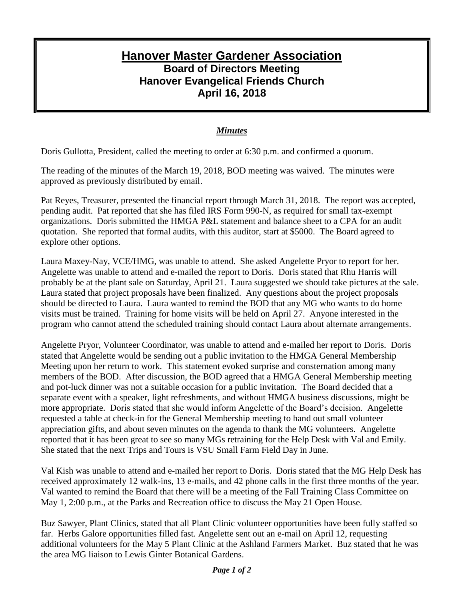## **Hanover Master Gardener Association Board of Directors Meeting Hanover Evangelical Friends Church April 16, 2018**

## *Minutes*

Doris Gullotta, President, called the meeting to order at 6:30 p.m. and confirmed a quorum.

The reading of the minutes of the March 19, 2018, BOD meeting was waived. The minutes were approved as previously distributed by email.

Pat Reyes, Treasurer, presented the financial report through March 31, 2018. The report was accepted, pending audit. Pat reported that she has filed IRS Form 990-N, as required for small tax-exempt organizations. Doris submitted the HMGA P&L statement and balance sheet to a CPA for an audit quotation. She reported that formal audits, with this auditor, start at \$5000. The Board agreed to explore other options.

Laura Maxey-Nay, VCE/HMG, was unable to attend. She asked Angelette Pryor to report for her. Angelette was unable to attend and e-mailed the report to Doris. Doris stated that Rhu Harris will probably be at the plant sale on Saturday, April 21. Laura suggested we should take pictures at the sale. Laura stated that project proposals have been finalized. Any questions about the project proposals should be directed to Laura. Laura wanted to remind the BOD that any MG who wants to do home visits must be trained. Training for home visits will be held on April 27. Anyone interested in the program who cannot attend the scheduled training should contact Laura about alternate arrangements.

Angelette Pryor, Volunteer Coordinator, was unable to attend and e-mailed her report to Doris. Doris stated that Angelette would be sending out a public invitation to the HMGA General Membership Meeting upon her return to work. This statement evoked surprise and consternation among many members of the BOD. After discussion, the BOD agreed that a HMGA General Membership meeting and pot-luck dinner was not a suitable occasion for a public invitation. The Board decided that a separate event with a speaker, light refreshments, and without HMGA business discussions, might be more appropriate. Doris stated that she would inform Angelette of the Board's decision. Angelette requested a table at check-in for the General Membership meeting to hand out small volunteer appreciation gifts, and about seven minutes on the agenda to thank the MG volunteers. Angelette reported that it has been great to see so many MGs retraining for the Help Desk with Val and Emily. She stated that the next Trips and Tours is VSU Small Farm Field Day in June.

Val Kish was unable to attend and e-mailed her report to Doris. Doris stated that the MG Help Desk has received approximately 12 walk-ins, 13 e-mails, and 42 phone calls in the first three months of the year. Val wanted to remind the Board that there will be a meeting of the Fall Training Class Committee on May 1, 2:00 p.m., at the Parks and Recreation office to discuss the May 21 Open House.

Buz Sawyer, Plant Clinics, stated that all Plant Clinic volunteer opportunities have been fully staffed so far. Herbs Galore opportunities filled fast. Angelette sent out an e-mail on April 12, requesting additional volunteers for the May 5 Plant Clinic at the Ashland Farmers Market. Buz stated that he was the area MG liaison to Lewis Ginter Botanical Gardens.